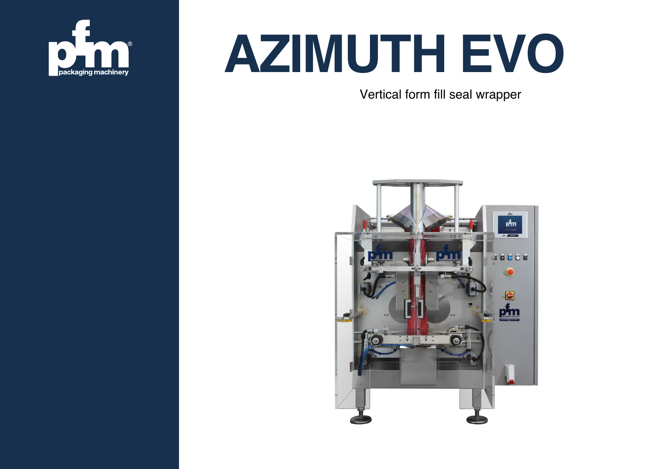

## **AZIMUTH EVO**

Vertical form fill seal wrapper

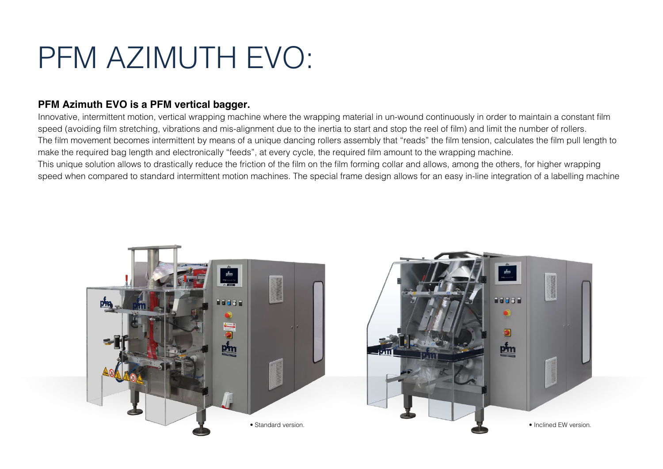### PFM AZIMUTH EVO:

#### **PFM Azimuth EVO is a PFM vertical bagger.**

Innovative, intermittent motion, vertical wrapping machine where the wrapping material in un-wound continuously in order to maintain a constant film speed (avoiding film stretching, vibrations and mis-alignment due to the inertia to start and stop the reel of film) and limit the number of rollers. The film movement becomes intermittent by means of a unique dancing rollers assembly that "reads" the film tension, calculates the film pull length to make the required bag length and electronically "feeds", at every cycle, the required film amount to the wrapping machine. This unique solution allows to drastically reduce the friction of the film on the film forming collar and allows, among the others, for higher wrapping speed when compared to standard intermittent motion machines. The special frame design allows for an easy in-line integration of a labelling machine



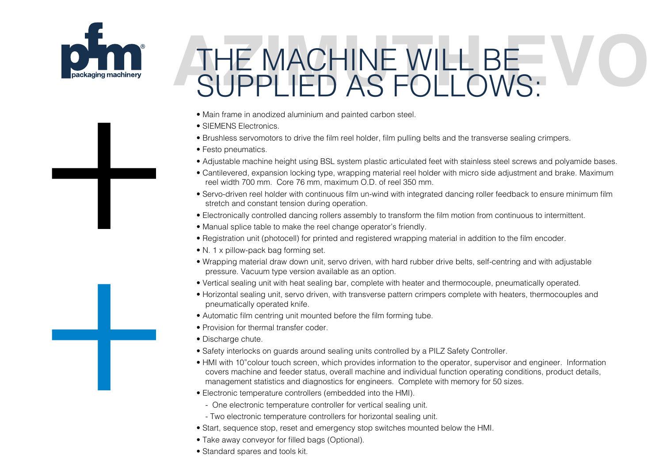

+

# THE MACHINE WILL BE SUPPLIED AS FOLLOWS:

- Main frame in anodized aluminium and painted carbon steel.
- SIEMENS Electronics.
- Brushless servomotors to drive the film reel holder, film pulling belts and the transverse sealing crimpers.
- Festo pneumatics.
- Adjustable machine height using BSL system plastic articulated feet with stainless steel screws and polyamide bases.
- Cantilevered, expansion locking type, wrapping material reel holder with micro side adjustment and brake. Maximum reel width 700 mm. Core 76 mm, maximum O.D. of reel 350 mm.
- Servo-driven reel holder with continuous film un-wind with integrated dancing roller feedback to ensure minimum film stretch and constant tension during operation.
- Electronically controlled dancing rollers assembly to transform the film motion from continuous to intermittent.
- Manual splice table to make the reel change operator's friendly.
- Registration unit (photocell) for printed and registered wrapping material in addition to the film encoder.
- N. 1 x pillow-pack bag forming set.
- Wrapping material draw down unit, servo driven, with hard rubber drive belts, self-centring and with adjustable pressure. Vacuum type version available as an option.
- Vertical sealing unit with heat sealing bar, complete with heater and thermocouple, pneumatically operated.
- Horizontal sealing unit, servo driven, with transverse pattern crimpers complete with heaters, thermocouples and pneumatically operated knife.
- Automatic film centring unit mounted before the film forming tube.
- Provision for thermal transfer coder.
- Discharge chute.
- Safety interlocks on guards around sealing units controlled by a PILZ Safety Controller.
- HMI with 10"colour touch screen, which provides information to the operator, supervisor and engineer. Information covers machine and feeder status, overall machine and individual function operating conditions, product details, management statistics and diagnostics for engineers. Complete with memory for 50 sizes.
- Electronic temperature controllers (embedded into the HMI).
	- One electronic temperature controller for vertical sealing unit.
	- Two electronic temperature controllers for horizontal sealing unit.
- Start, sequence stop, reset and emergency stop switches mounted below the HMI.
- Take away conveyor for filled bags (Optional).
- Standard spares and tools kit.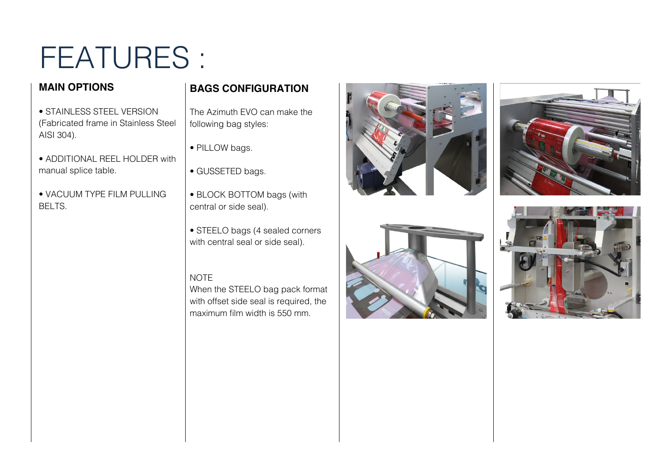## FEATURES :

#### **MAIN OPTIONS**

manual splice table.

AISI 304).

BELTS.

• STAINLESS STEEL VERSION

• ADDITIONAL REEL HOLDER with

• VACUUM TYPE FILM PULLING

#### **BAGS CONFIGURATION**

(Fabricated frame in Stainless Steel The Azimuth EVO can make the following bag styles:

- PILLOW bags.
- GUSSETED bags.
- BLOCK BOTTOM bags (with central or side seal).
- STEELO bags (4 sealed corners with central seal or side seal).

#### **NOTE**

When the STEELO bag pack format with offset side seal is required, the maximum film width is 550 mm.







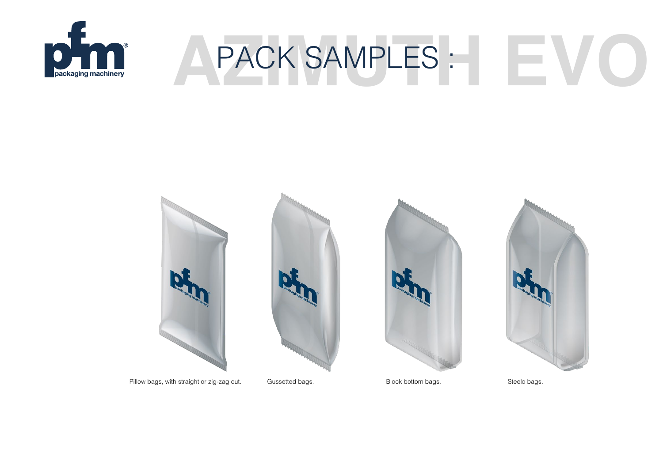

## **A PACK SAMPLES : WOODS**



Pillow bags, with straight or zig-zag cut. Gussetted bags. Block bottom bags. Steelo bags. Steelo bags.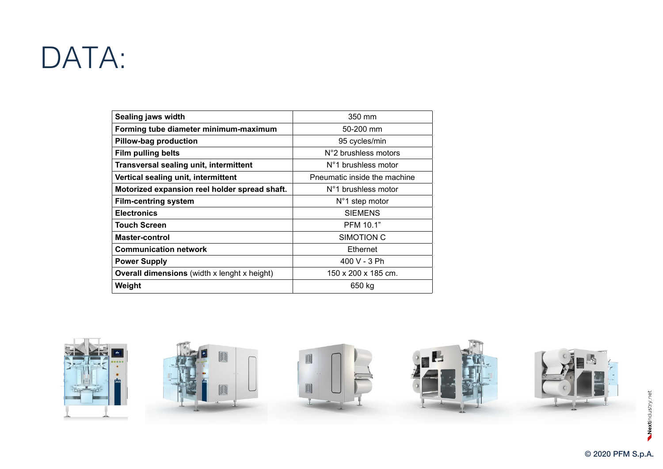### DATA:

| Sealing jaws width                                  | 350 mm                       |
|-----------------------------------------------------|------------------------------|
| Forming tube diameter minimum-maximum               | $50 - 200$ mm                |
| Pillow-bag production                               | 95 cycles/min                |
| <b>Film pulling belts</b>                           | N°2 brushless motors         |
| Transversal sealing unit, intermittent              | N°1 brushless motor          |
| Vertical sealing unit, intermittent                 | Pneumatic inside the machine |
| Motorized expansion reel holder spread shaft.       | N°1 brushless motor          |
| <b>Film-centring system</b>                         | $N^{\circ}$ 1 step motor     |
| <b>Electronics</b>                                  | <b>SIEMENS</b>               |
| <b>Touch Screen</b>                                 | <b>PFM 10.1"</b>             |
| <b>Master-control</b>                               | SIMOTION C                   |
| <b>Communication network</b>                        | Ethernet                     |
| <b>Power Supply</b>                                 | 400 V - 3 Ph                 |
| <b>Overall dimensions</b> (width x lenght x height) | 150 x 200 x 185 cm.          |
| Weight                                              | 650 kg                       |

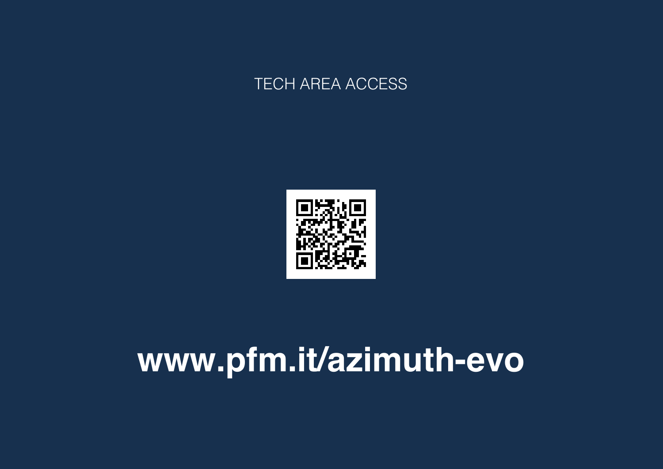#### **TECH AREA ACCESS**



## www.pfm.it/azimuth-evo